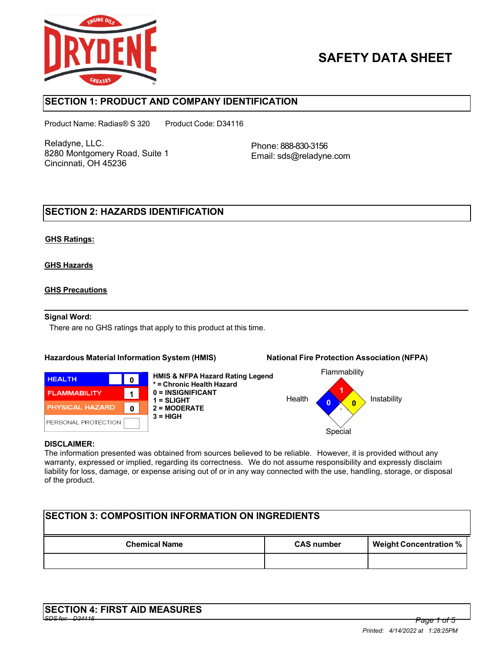

# **SAFETY DATA SHEET**

## **SECTION 1: PRODUCT AND COMPANY IDENTIFICATION**

Product Name: Radias® S 320 Product Code: D34116

Reladyne, LLC. 8280 Montgomery Road, Suite 1 Cincinnati, OH 45236

Phone: 888-830-3156 Email: sds@reladyne.com

## **SECTION 2: HAZARDS IDENTIFICATION**

### **GHS Ratings:**

### **GHS Hazards**

### **GHS Precautions**

#### **Signal Word:**

There are no GHS ratings that apply to this product at this time.

#### **Hazardous Material Information System (HMIS) National Fire Protection Association (NFPA)**



**HMIS & NFPA Hazard Rating Legend \* = Chronic Health Hazard 0 = INSIGNIFICANT 1 = SLIGHT 2 = MODERATE 3 = HIGH**



#### **DISCLAIMER:**

The information presented was obtained from sources believed to be reliable. However, it is provided without any warranty, expressed or implied, regarding its correctness. We do not assume responsibility and expressly disclaim liability for loss, damage, or expense arising out of or in any way connected with the use, handling, storage, or disposal of the product.

| <b>ISECTION 3: COMPOSITION INFORMATION ON INGREDIENTS</b> |                   |                               |  |
|-----------------------------------------------------------|-------------------|-------------------------------|--|
| <b>Chemical Name</b>                                      | <b>CAS number</b> | <b>Weight Concentration %</b> |  |
|                                                           |                   |                               |  |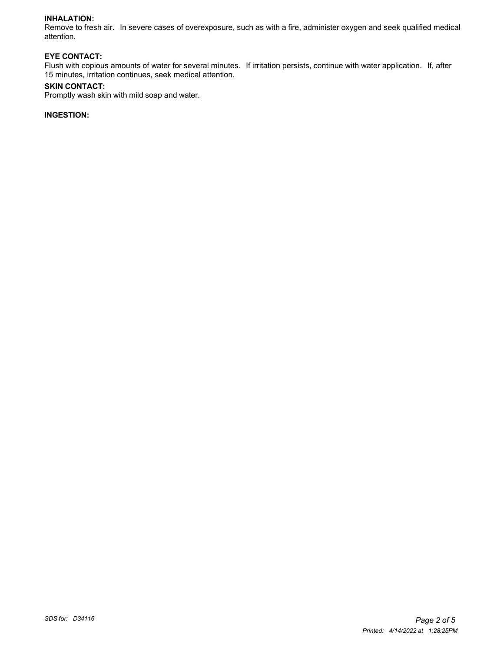#### **INHALATION:**

Remove to fresh air. In severe cases of overexposure, such as with a fire, administer oxygen and seek qualified medical attention.

#### **EYE CONTACT:**

Flush with copious amounts of water for several minutes. If irritation persists, continue with water application. If, after 15 minutes, irritation continues, seek medical attention.

#### **SKIN CONTACT:**

Promptly wash skin with mild soap and water.

### **INGESTION:**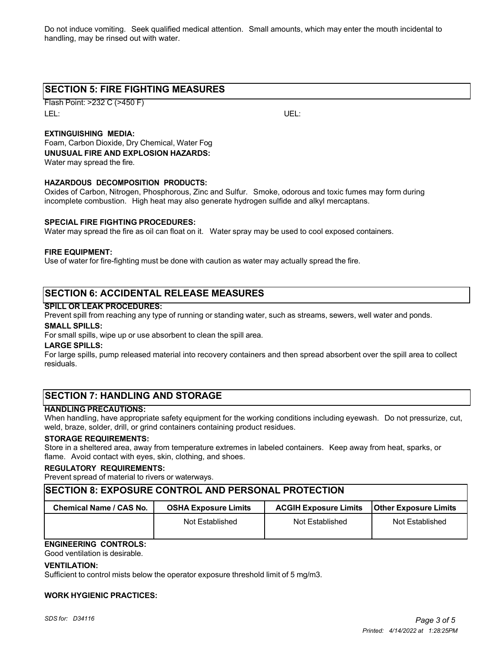Do not induce vomiting. Seek qualified medical attention. Small amounts, which may enter the mouth incidental to handling, may be rinsed out with water.

## **SECTION 5: FIRE FIGHTING MEASURES**

Flash Point: >232 C (>450 F) LEL: UEL:

### **EXTINGUISHING MEDIA:**

Foam, Carbon Dioxide, Dry Chemical, Water Fog **UNUSUAL FIRE AND EXPLOSION HAZARDS:** Water may spread the fire.

#### **HAZARDOUS DECOMPOSITION PRODUCTS:**

Oxides of Carbon, Nitrogen, Phosphorous, Zinc and Sulfur. Smoke, odorous and toxic fumes may form during incomplete combustion. High heat may also generate hydrogen sulfide and alkyl mercaptans.

#### **SPECIAL FIRE FIGHTING PROCEDURES:**

Water may spread the fire as oil can float on it. Water spray may be used to cool exposed containers.

#### **FIRE EQUIPMENT:**

Use of water for fire-fighting must be done with caution as water may actually spread the fire.

## **SECTION 6: ACCIDENTAL RELEASE MEASURES**

#### **SPILL OR LEAK PROCEDURES:**

Prevent spill from reaching any type of running or standing water, such as streams, sewers, well water and ponds.

#### **SMALL SPILLS:**

For small spills, wipe up or use absorbent to clean the spill area.

#### **LARGE SPILLS:**

For large spills, pump released material into recovery containers and then spread absorbent over the spill area to collect residuals.

## **SECTION 7: HANDLING AND STORAGE**

#### **HANDLING PRECAUTIONS:**

When handling, have appropriate safety equipment for the working conditions including eyewash. Do not pressurize, cut, weld, braze, solder, drill, or grind containers containing product residues.

#### **STORAGE REQUIREMENTS:**

Store in a sheltered area, away from temperature extremes in labeled containers. Keep away from heat, sparks, or flame. Avoid contact with eyes, skin, clothing, and shoes.

#### **REGULATORY REQUIREMENTS:**

Prevent spread of material to rivers or waterways.

### **SECTION 8: EXPOSURE CONTROL AND PERSONAL PROTECTION**

| Chemical Name / CAS No. | <b>OSHA Exposure Limits</b> | <b>ACGIH Exposure Limits</b> | <b>IOther Exposure Limits</b> |
|-------------------------|-----------------------------|------------------------------|-------------------------------|
|                         | Not Established             | Not Established              | Not Established               |

## **ENGINEERING CONTROLS:**

Good ventilation is desirable.

#### **VENTILATION:**

Sufficient to control mists below the operator exposure threshold limit of 5 mg/m3.

#### **WORK HYGIENIC PRACTICES:**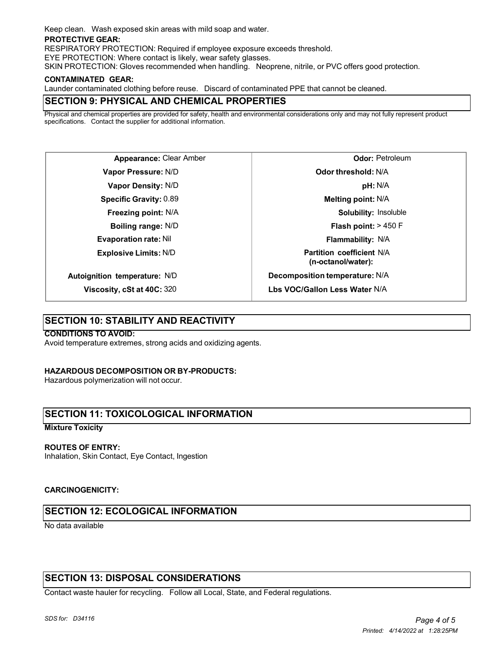Keep clean. Wash exposed skin areas with mild soap and water.

#### **PROTECTIVE GEAR:**

RESPIRATORY PROTECTION: Required if employee exposure exceeds threshold.

EYE PROTECTION: Where contact is likely, wear safety glasses.

SKIN PROTECTION: Gloves recommended when handling. Neoprene, nitrile, or PVC offers good protection.

#### **CONTAMINATED GEAR:**

Launder contaminated clothing before reuse. Discard of contaminated PPE that cannot be cleaned.

## **SECTION 9: PHYSICAL AND CHEMICAL PROPERTIES**

Physical and chemical properties are provided for safety, health and environmental considerations only and may not fully represent product specifications. Contact the supplier for additional information.

**Appearance:** Clear Amber **Vapor Pressure:** N/D **Vapor Density:** N/D **Specific Gravity:** 0.89 **Freezing point:** N/A **Boiling range:** N/D **Evaporation rate:** Nil **Explosive Limits:** N/D **Autoignition temperature:** N/D

**Viscosity, cSt at 40C:** 320

**Odor:** Petroleum **Odor threshold:** N/A **pH:** N/A **Melting point:** N/A **Solubility:** Insoluble **Flash point:** > 450 F **Flammability:** N/A **Partition coefficient** N/A **(n-octanol/water): Decomposition temperature:** N/A **Lbs VOC/Gallon Less Water** N/A

## **SECTION 10: STABILITY AND REACTIVITY**

#### **CONDITIONS TO AVOID:**

Avoid temperature extremes, strong acids and oxidizing agents.

#### **HAZARDOUS DECOMPOSITION OR BY-PRODUCTS:**

Hazardous polymerization will not occur.

## **SECTION 11: TOXICOLOGICAL INFORMATION**

#### **Mixture Toxicity**

#### **ROUTES OF ENTRY:**

Inhalation, Skin Contact, Eye Contact, Ingestion

#### **CARCINOGENICITY:**

## **SECTION 12: ECOLOGICAL INFORMATION**

No data available

## **SECTION 13: DISPOSAL CONSIDERATIONS**

Contact waste hauler for recycling. Follow all Local, State, and Federal regulations.